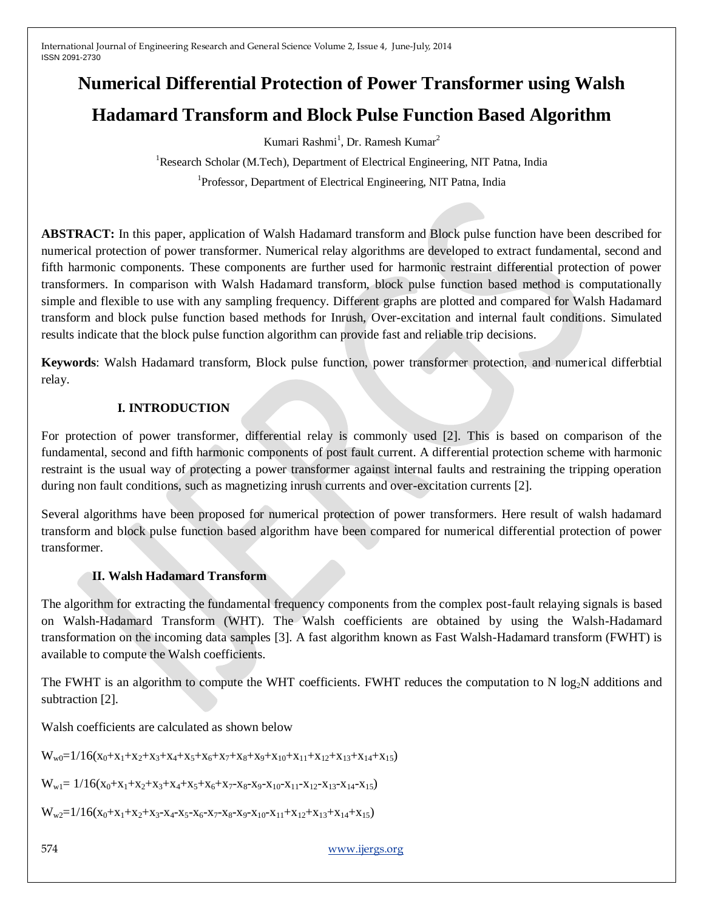# **Numerical Differential Protection of Power Transformer using Walsh Hadamard Transform and Block Pulse Function Based Algorithm**

Kumari Rashmi<sup>1</sup>, Dr. Ramesh Kumar<sup>2</sup>

<sup>1</sup>Research Scholar (M.Tech), Department of Electrical Engineering, NIT Patna, India <sup>1</sup>Professor, Department of Electrical Engineering, NIT Patna, India

**ABSTRACT:** In this paper, application of Walsh Hadamard transform and Block pulse function have been described for numerical protection of power transformer. Numerical relay algorithms are developed to extract fundamental, second and fifth harmonic components. These components are further used for harmonic restraint differential protection of power transformers. In comparison with Walsh Hadamard transform, block pulse function based method is computationally simple and flexible to use with any sampling frequency. Different graphs are plotted and compared for Walsh Hadamard transform and block pulse function based methods for Inrush, Over-excitation and internal fault conditions. Simulated results indicate that the block pulse function algorithm can provide fast and reliable trip decisions.

**Keywords**: Walsh Hadamard transform, Block pulse function, power transformer protection, and numerical differbtial relay.

# **I. INTRODUCTION**

For protection of power transformer, differential relay is commonly used [2]. This is based on comparison of the fundamental, second and fifth harmonic components of post fault current. A differential protection scheme with harmonic restraint is the usual way of protecting a power transformer against internal faults and restraining the tripping operation during non fault conditions, such as magnetizing inrush currents and over-excitation currents [2].

Several algorithms have been proposed for numerical protection of power transformers. Here result of walsh hadamard transform and block pulse function based algorithm have been compared for numerical differential protection of power transformer.

## **II. Walsh Hadamard Transform**

The algorithm for extracting the fundamental frequency components from the complex post-fault relaying signals is based on Walsh-Hadamard Transform (WHT). The Walsh coefficients are obtained by using the Walsh-Hadamard transformation on the incoming data samples [3]. A fast algorithm known as Fast Walsh-Hadamard transform (FWHT) is available to compute the Walsh coefficients.

The FWHT is an algorithm to compute the WHT coefficients. FWHT reduces the computation to N  $log_2N$  additions and subtraction [2].

Walsh coefficients are calculated as shown below

 $W_{w0}=1/16(x_0+x_1+x_2+x_3+x_4+x_5+x_6+x_7+x_8+x_9+x_{10}+x_{11}+x_{12}+x_{13}+x_{14}+x_{15})$ 

 $W_{w1} = 1/16(x_0 + x_1 + x_2 + x_3 + x_4 + x_5 + x_6 + x_7 - x_8 - x_9 - x_{10} - x_{11} - x_{12} - x_{13} - x_{14} - x_{15})$ 

 $W_{w2}=1/16(x_0+x_1+x_2+x_3-x_4-x_5-x_6-x_7-x_8-x_9-x_{10}-x_{11}+x_{12}+x_{13}+x_{14}+x_{15})$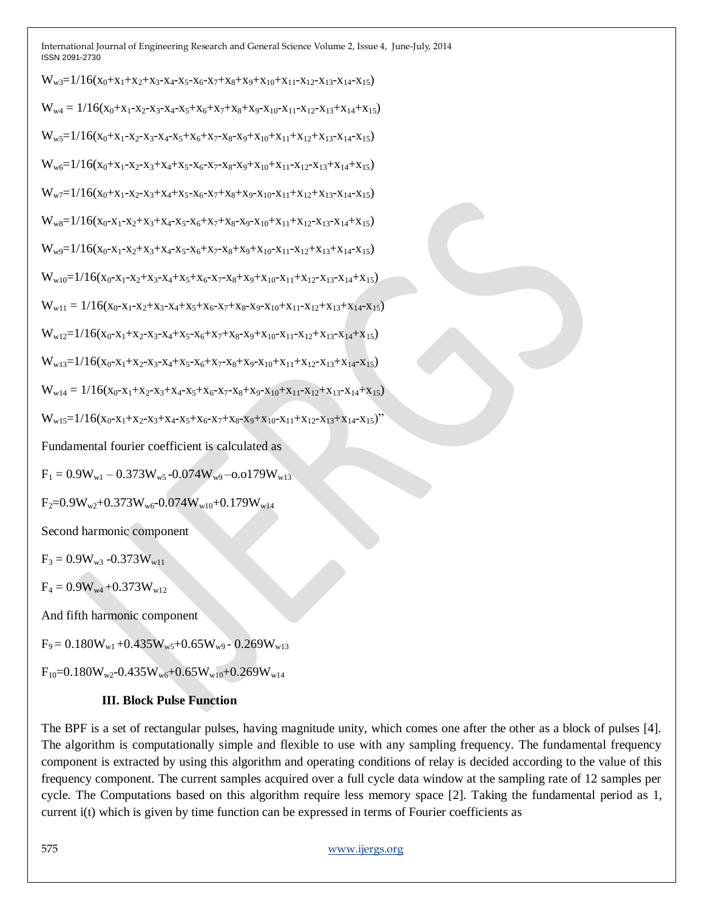$W_{w3}=1/16(x_0+x_1+x_2+x_3-x_4-x_5-x_6-x_7+x_8+x_9+x_{10}+x_{11}-x_{12}-x_{13}-x_{14}-x_{15})$  $W_{w4} = 1/16(x_0 + x_1 - x_2 - x_3 - x_4 - x_5 + x_6 + x_7 + x_8 + x_9 - x_{10} - x_{11} - x_{12} - x_{13} + x_{14} + x_{15})$  $W_{w5}=1/16(x_0+x_1-x_2-x_3-x_4-x_5+x_6+x_7-x_8-x_9+x_{10}+x_{11}+x_{12}+x_{13}-x_{14}-x_{15})$  $W_{w6}=1/16(x_0+x_1-x_2-x_3+x_4+x_5-x_6-x_7-x_8-x_9+x_{10}+x_{11}-x_{12}-x_{13}+x_{14}+x_{15})$  $W_{w7}=1/16(x_0+x_1-x_2-x_3+x_4+x_5-x_6-x_7+x_8+x_9-x_{10}-x_{11}+x_{12}+x_{13}-x_{14}-x_{15})$  $W_{w8}=1/16(x_0-x_1-x_2+x_3+x_4-x_5-x_6+x_7+x_8-x_9-x_{10}+x_{11}+x_{12}-x_{13}-x_{14}+x_{15})$  $W_{w9}=1/16(x_0-x_1-x_2+x_3+x_4-x_5-x_6+x_7-x_8+x_9+x_{10}-x_{11}-x_{12}+x_{13}+x_{14}-x_{15})$  $W_{w10}=1/16(x_0-x_1-x_2+x_3-x_4+x_5+x_6-x_7-x_8+x_9+x_{10}-x_{11}+x_{12}-x_{13}-x_{14}+x_{15})$  $W_{w11} = 1/16(x_0-x_1-x_2+x_3-x_4+x_5+x_6-x_7+x_8-x_9-x_{10}+x_{11}-x_{12}+x_{13}+x_{14}-x_{15})$  $W_{w12}=1/16(x_0-x_1+x_2-x_3-x_4+x_5-x_6+x_7+x_8-x_9+x_{10}-x_{11}-x_{12}+x_{13}-x_{14}+x_{15})$  $W_{w13}=1/16(x_0-x_1+x_2-x_3-x_4+x_5-x_6+x_7-x_8+x_9-x_{10}+x_{11}+x_{12}-x_{13}+x_{14}-x_{15})$  $W_{w14} = 1/16(x_0 - x_1 + x_2 - x_3 + x_4 - x_5 + x_6 - x_7 - x_8 + x_9 - x_{10} + x_{11} - x_{12} + x_{13} - x_{14} + x_{15})$  $W_{w15}=1/16(x_0-x_1+x_2-x_3+x_4-x_5+x_6-x_7+x_8-x_9+x_{10}-x_{11}+x_{12}-x_{13}+x_{14}-x_{15})''$ Fundamental fourier coefficient is calculated as  $F_1 = 0.9W_{w1} - 0.373W_{w5} - 0.074W_{w9} - 0.0179W_{w13}$  $F_2=0.9W_{w2}+0.373W_{w6}-0.074W_{w10}+0.179W_{w14}$ Second harmonic component  $F_3 = 0.9W_{w3} - 0.373W_{w11}$  $F_4 = 0.9W_{w4} + 0.373W_{w12}$ 

And fifth harmonic component

 $F_9 = 0.180W_{w1} + 0.435W_{w5} + 0.65W_{w9} - 0.269W_{w13}$ 

 $F_{10}=0.180W_{w2}-0.435W_{w6}+0.65W_{w10}+0.269W_{w14}$ 

#### **III. Block Pulse Function**

The BPF is a set of rectangular pulses, having magnitude unity, which comes one after the other as a block of pulses [4]. The algorithm is computationally simple and flexible to use with any sampling frequency. The fundamental frequency component is extracted by using this algorithm and operating conditions of relay is decided according to the value of this frequency component. The current samples acquired over a full cycle data window at the sampling rate of 12 samples per cycle. The Computations based on this algorithm require less memory space [2]. Taking the fundamental period as 1, current i(t) which is given by time function can be expressed in terms of Fourier coefficients as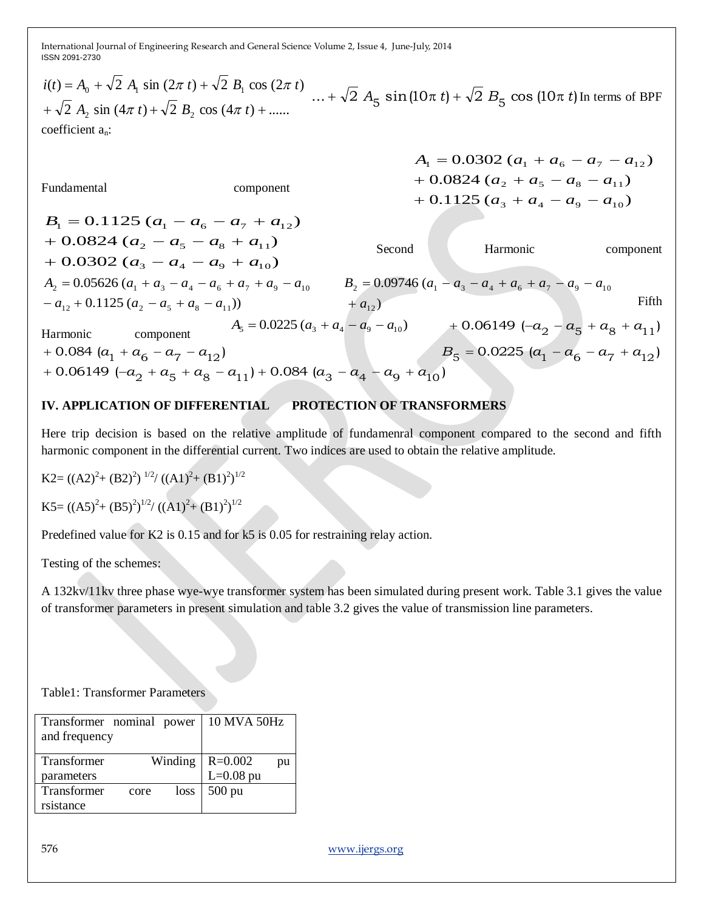2 A<sub>2</sub> sin  $(4\pi t) + \sqrt{2} B_2 \cos (4\pi t) + \dots$  $(t) = A_0 + \sqrt{2} A_1 \sin (2\pi t) + \sqrt{2} B_1 \cos (2\pi t)$ +  $\sqrt{2} A_2 \sin (4\pi t) + \sqrt{2} B_2 \cos (4\pi t) + ...$  $+\sqrt{2} A_2 \sin (4\pi t) + \sqrt{2} B_2 \cos (4\pi t) +$  $= A_0 + \sqrt{2} A_1 \sin (2\pi t) +$ *A*<sub>2</sub> sin  $(4\pi t) + \sqrt{2} B$ <sub>2</sub> cos  $(4\pi t)$  $i(t) = A_0 + \sqrt{2} A_1 \sin (2\pi t) + \sqrt{2} B_1 \cos (2\pi t)$  $\pi t$  +  $\sqrt{2}$  B, COS (4 $\pi$ )  $\frac{\pi}{4}$  *t*) +  $\sqrt{2}$  *B*<sub>1</sub> cos (2 $\pi$  *t*)<br>  $\ldots$  +  $\sqrt{2}$  *A*<sub>5</sub> sin(10 $\pi$  *t*) +  $\sqrt{2}$  *B*<sub>5</sub> cos (10 $\pi$  *t*) In terms of BPF coefficient an:

Fundamental component

$$
A_1 = 0.0302 (a_1 + a_6 - a_7 - a_{12})
$$
  
+ 0.0824 (a<sub>2</sub> + a<sub>5</sub> - a<sub>8</sub> - a<sub>11</sub>)  
+ 0.1125 (a<sub>3</sub> + a<sub>4</sub> - a<sub>9</sub> - a<sub>10</sub>)

 $+ 0.0302 (a_3 - a_4 - a_9 + a_{10})$  $+ 0.0824 (a_2 - a_5 - a_8 + a_{11})$  $B_1 = 0.1125 (a_1 - a_6 - a_7 + a_{12})$ Second Harmonic component  $(a_1 - a_{12} + 0.1125 (a_2 - a_5 + a_8 - a_{11}))$  $A_2 = 0.05626 (a_1 + a_3 - a_4 - a_6 + a_7 + a_9 - a_{10}$   $B_2 = 0.09746 (a_1 - a_3 - a_4 + a_6 + a_7 - a_9 - a_{10}$  $+ a_{12}$ Fifth Harmonic component  $A_5 = 0.0225 (a_3 + a_4 - a_9 - a_{10})$  + 0.06149  $(-a_2 - a_5 + a_8 + a_{11})$  $+0.084 (a_1 + a_6 - a_7 - a_{12})$  $+ 0.084 (a_1 + a_6 - a_7 - a_{12})$   $B_5 = 0.0225 (a_1 - a_6 - a_7 + a_{12})$  $(a_1 + 0.06149 \, (-a_2 + a_5 + a_8 - a_{11}) + 0.084 \, (a_3 - a_4 - a_9 + a_{10})$ 

## **IV. APPLICATION OF DIFFERENTIAL PROTECTION OF TRANSFORMERS**

Here trip decision is based on the relative amplitude of fundamenral component compared to the second and fifth harmonic component in the differential current. Two indices are used to obtain the relative amplitude.

$$
K2 = ((A2)^{2} + (B2)^{2})^{1/2} / ((A1)^{2} + (B1)^{2})^{1/2}
$$

$$
K5 = ((A5)^{2} + (B5)^{2})^{1/2} / ((A1)^{2} + (B1)^{2})^{1/2}
$$

Predefined value for K2 is 0.15 and for k5 is 0.05 for restraining relay action.

Testing of the schemes:

A 132kv/11kv three phase wye-wye transformer system has been simulated during present work. Table 3.1 gives the value of transformer parameters in present simulation and table 3.2 gives the value of transmission line parameters.

Table1: Transformer Parameters

| Transformer nominal power<br>and frequency |      |         | 10 MVA 50Hz |    |
|--------------------------------------------|------|---------|-------------|----|
| Transformer                                |      | Winding | $R = 0.002$ | pu |
| parameters                                 |      |         | $L=0.08$ pu |    |
| <b>Transformer</b>                         | core | loss    | $500$ pu    |    |
| rsistance                                  |      |         |             |    |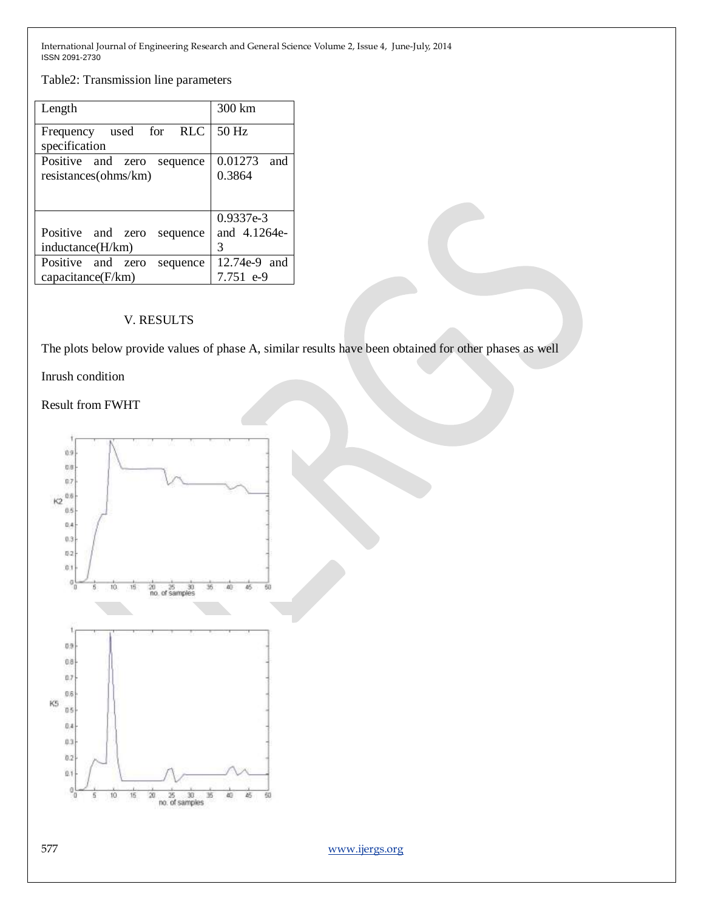Table2: Transmission line parameters

| Length                           | 300 km         |
|----------------------------------|----------------|
| Frequency used for RLC           | $50$ Hz        |
| specification                    |                |
| Positive and zero<br>sequence    | 0.01273<br>and |
| resistances(ohms/km)             | 0.3864         |
|                                  |                |
|                                  | 0.9337e-3      |
| Positive and zero<br>sequence    | and 4.1264e-   |
| inductance(H/km)                 | 3              |
| Positive and<br>zero<br>sequence | 12.74e-9 and   |
| capacitance(F/km)                | 7.751 e-9      |

## V. RESULTS

The plots below provide values of phase A, similar results have been obtained for other phases as well

Inrush condition

## Result from FWHT

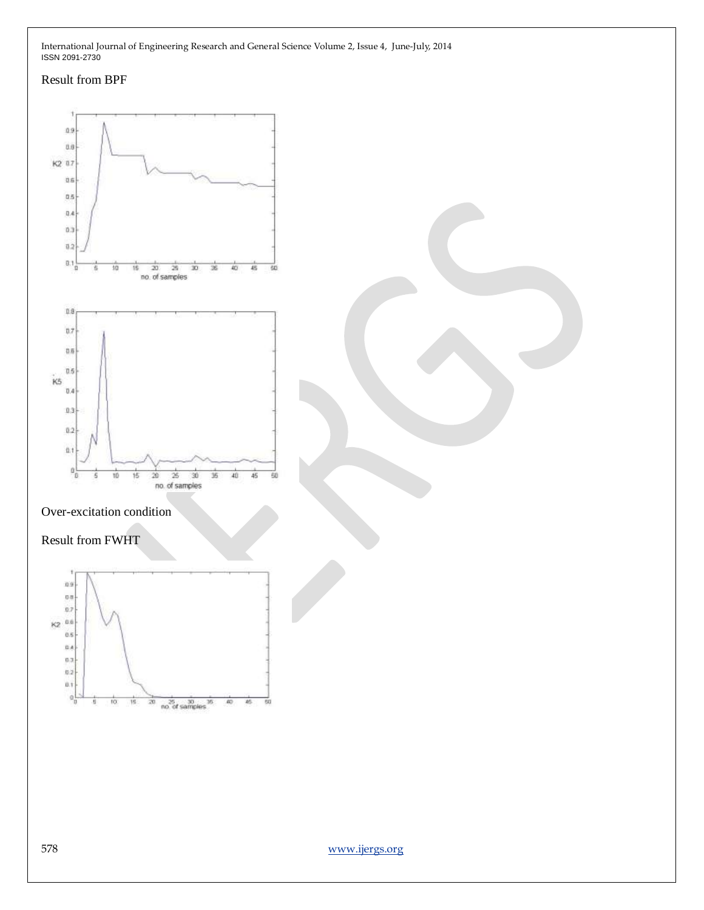#### Result from BPF

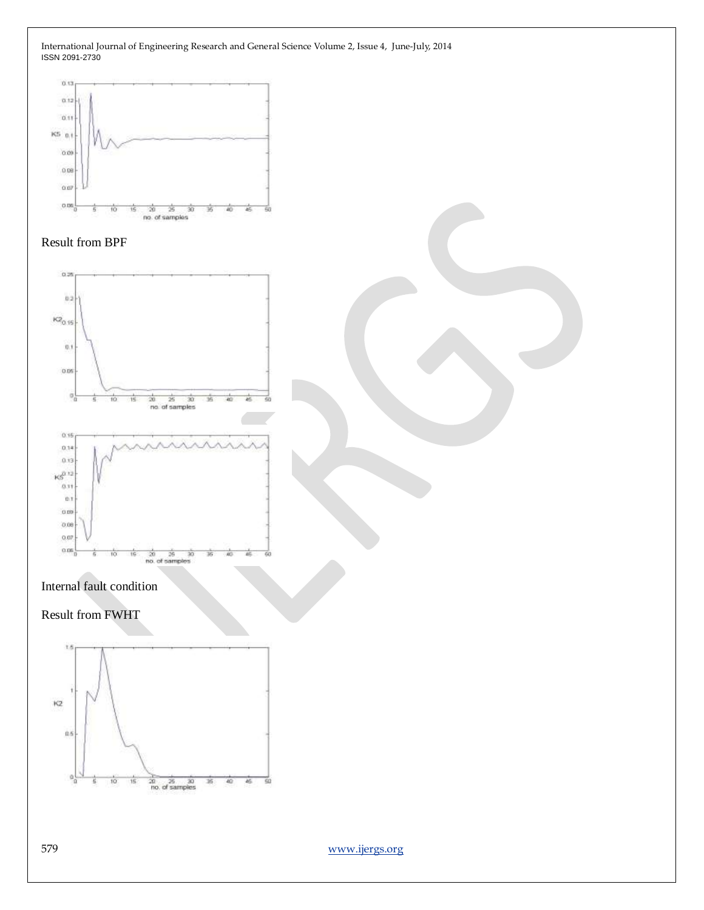





#### Internal fault condition

## Result from FWHT

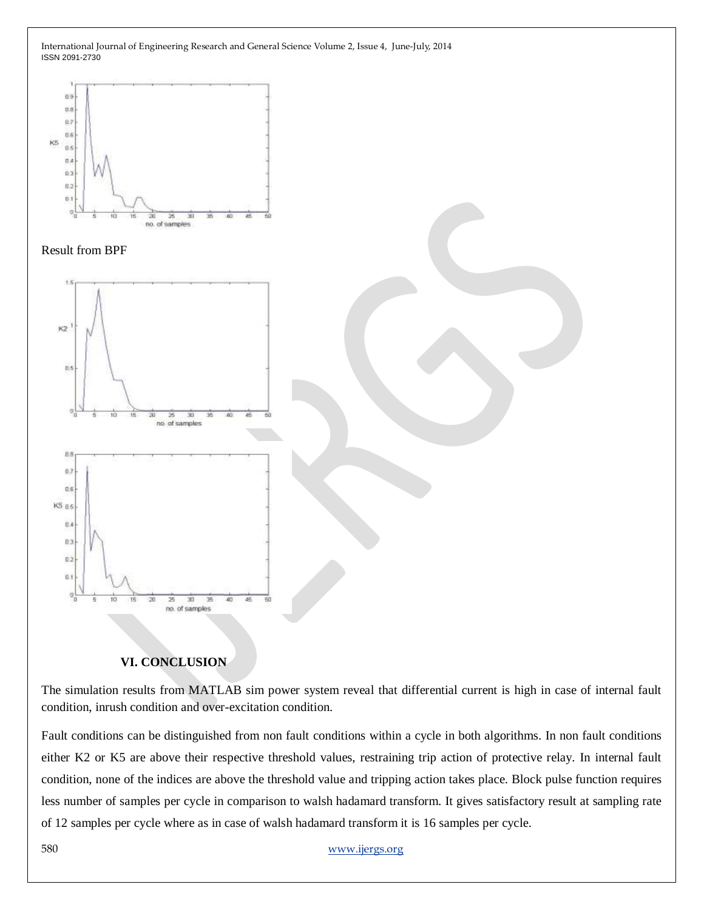



#### **VI. CONCLUSION**

The simulation results from MATLAB sim power system reveal that differential current is high in case of internal fault condition, inrush condition and over-excitation condition.

Fault conditions can be distinguished from non fault conditions within a cycle in both algorithms. In non fault conditions either K2 or K5 are above their respective threshold values, restraining trip action of protective relay. In internal fault condition, none of the indices are above the threshold value and tripping action takes place. Block pulse function requires less number of samples per cycle in comparison to walsh hadamard transform. It gives satisfactory result at sampling rate of 12 samples per cycle where as in case of walsh hadamard transform it is 16 samples per cycle.